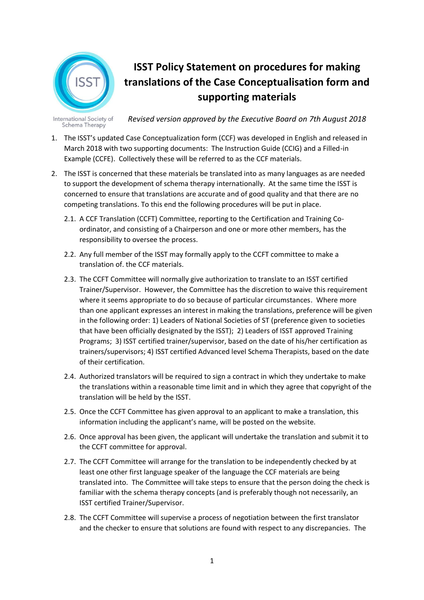

## **ISST Policy Statement on procedures for making translations of the Case Conceptualisation form and supporting materials**

International Society of *Revised version approved by the Executive Board on 7th August 2018* Schema Therapy

- 1. The ISST's updated Case Conceptualization form (CCF) was developed in English and released in March 2018 with two supporting documents: The Instruction Guide (CCIG) and a Filled-in Example (CCFE). Collectively these will be referred to as the CCF materials.
- 2. The ISST is concerned that these materials be translated into as many languages as are needed to support the development of schema therapy internationally. At the same time the ISST is concerned to ensure that translations are accurate and of good quality and that there are no competing translations. To this end the following procedures will be put in place.
	- 2.1. A CCF Translation (CCFT) Committee, reporting to the Certification and Training Coordinator, and consisting of a Chairperson and one or more other members, has the responsibility to oversee the process.
	- 2.2. Any full member of the ISST may formally apply to the CCFT committee to make a translation of. the CCF materials.
	- 2.3. The CCFT Committee will normally give authorization to translate to an ISST certified Trainer/Supervisor. However, the Committee has the discretion to waive this requirement where it seems appropriate to do so because of particular circumstances. Where more than one applicant expresses an interest in making the translations, preference will be given in the following order: 1) Leaders of National Societies of ST (preference given to societies that have been officially designated by the ISST); 2) Leaders of ISST approved Training Programs; 3) ISST certified trainer/supervisor, based on the date of his/her certification as trainers/supervisors; 4) ISST certified Advanced level Schema Therapists, based on the date of their certification.
	- 2.4. Authorized translators will be required to sign a contract in which they undertake to make the translations within a reasonable time limit and in which they agree that copyright of the translation will be held by the ISST.
	- 2.5. Once the CCFT Committee has given approval to an applicant to make a translation, this information including the applicant's name, will be posted on the website.
	- 2.6. Once approval has been given, the applicant will undertake the translation and submit it to the CCFT committee for approval.
	- 2.7. The CCFT Committee will arrange for the translation to be independently checked by at least one other first language speaker of the language the CCF materials are being translated into. The Committee will take steps to ensure that the person doing the check is familiar with the schema therapy concepts (and is preferably though not necessarily, an ISST certified Trainer/Supervisor.
	- 2.8. The CCFT Committee will supervise a process of negotiation between the first translator and the checker to ensure that solutions are found with respect to any discrepancies. The